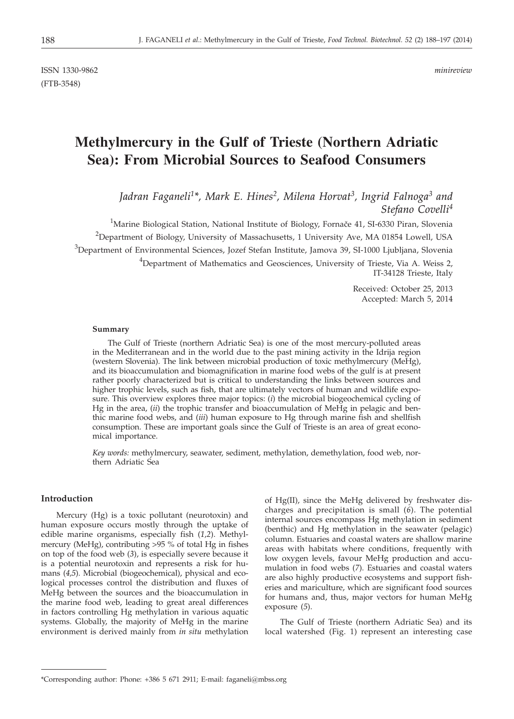# **Methylmercury in the Gulf of Trieste (Northern Adriatic Sea): From Microbial Sources to Seafood Consumers**

*Jadran Faganeli1\*, Mark E. Hines2, Milena Horvat3, Ingrid Falnoga3 and Stefano Covelli4*

 $^{1}$ Marine Biological Station, National Institute of Biology, Fornače 41, SI-6330 Piran, Slovenia  $^{2}$ Department of Biology, University of Massachusetts, 1 University Ave, MA 01854 Lowell, USA  $^3$ Department of Environmental Sciences, Jozef Stefan Institute, Jamova 39, SI-1000 Ljubljana, Slovenia <sup>4</sup>Department of Mathematics and Geosciences, University of Trieste, Via A. Weiss 2, IT-34128 Trieste, Italy

> Received: October 25, 2013 Accepted: March 5, 2014

#### **Summary**

The Gulf of Trieste (northern Adriatic Sea) is one of the most mercury-polluted areas in the Mediterranean and in the world due to the past mining activity in the Idrija region (western Slovenia). The link between microbial production of toxic methylmercury (MeHg), and its bioaccumulation and biomagnification in marine food webs of the gulf is at present rather poorly characterized but is critical to understanding the links between sources and higher trophic levels, such as fish, that are ultimately vectors of human and wildlife exposure. This overview explores three major topics: (*i*) the microbial biogeochemical cycling of Hg in the area, (*ii*) the trophic transfer and bioaccumulation of MeHg in pelagic and benthic marine food webs, and (*iii*) human exposure to Hg through marine fish and shellfish consumption. These are important goals since the Gulf of Trieste is an area of great economical importance.

*Key words:* methylmercury, seawater, sediment, methylation, demethylation, food web, northern Adriatic Sea

# **Introduction**

Mercury (Hg) is a toxic pollutant (neurotoxin) and human exposure occurs mostly through the uptake of edible marine organisms, especially fish (*1,2*). Methylmercury (MeHg), contributing >95 % of total Hg in fishes on top of the food web (*3*), is especially severe because it is a potential neurotoxin and represents a risk for humans (*4,5*). Microbial (biogeochemical), physical and ecological processes control the distribution and fluxes of MeHg between the sources and the bioaccumulation in the marine food web, leading to great areal differences in factors controlling Hg methylation in various aquatic systems. Globally, the majority of MeHg in the marine environment is derived mainly from *in situ* methylation of Hg(II), since the MeHg delivered by freshwater discharges and precipitation is small (*6*). The potential internal sources encompass Hg methylation in sediment (benthic) and Hg methylation in the seawater (pelagic) column. Estuaries and coastal waters are shallow marine areas with habitats where conditions, frequently with low oxygen levels, favour MeHg production and accumulation in food webs (*7*). Estuaries and coastal waters are also highly productive ecosystems and support fisheries and mariculture, which are significant food sources for humans and, thus, major vectors for human MeHg exposure (*5*).

The Gulf of Trieste (northern Adriatic Sea) and its local watershed (Fig. 1) represent an interesting case

<sup>\*</sup>Corresponding author: Phone: +386 5 671 2911; E-mail: faganeli*@*mbss.org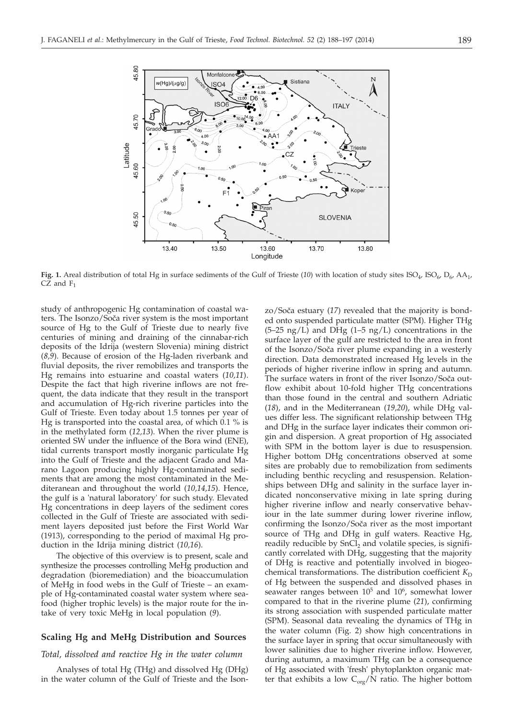

Fig. 1. Areal distribution of total Hg in surface sediments of the Gulf of Trieste (10) with location of study sites ISO<sub>4</sub>, ISO<sub>6</sub>, D<sub>6</sub>, AA<sub>1</sub>,  $CZ$  and  $F_1$ 

study of anthropogenic Hg contamination of coastal waters. The Isonzo/Soča river system is the most important source of Hg to the Gulf of Trieste due to nearly five centuries of mining and draining of the cinnabar-rich deposits of the Idrija (western Slovenia) mining district (*8,9*). Because of erosion of the Hg-laden riverbank and fluvial deposits, the river remobilizes and transports the Hg remains into estuarine and coastal waters (*10,11*). Despite the fact that high riverine inflows are not frequent, the data indicate that they result in the transport and accumulation of Hg-rich riverine particles into the Gulf of Trieste. Even today about 1.5 tonnes per year of Hg is transported into the coastal area, of which 0.1 % is in the methylated form (*12,13*). When the river plume is oriented SW under the influence of the Bora wind (ENE), tidal currents transport mostly inorganic particulate Hg into the Gulf of Trieste and the adjacent Grado and Marano Lagoon producing highly Hg-contaminated sediments that are among the most contaminated in the Mediteranean and throughout the world (*10,14,15*). Hence, the gulf is a 'natural laboratory' for such study. Elevated Hg concentrations in deep layers of the sediment cores collected in the Gulf of Trieste are associated with sediment layers deposited just before the First World War (1913), corresponding to the period of maximal Hg production in the Idrija mining district (*10,16*).

The objective of this overview is to present, scale and synthesize the processes controlling MeHg production and degradation (bioremediation) and the bioaccumulation of MeHg in food webs in the Gulf of Trieste – an example of Hg-contaminated coastal water system where seafood (higher trophic levels) is the major route for the intake of very toxic MeHg in local population (*9*).

# **Scaling Hg and MeHg Distribution and Sources**

### *Total, dissolved and reactive Hg in the water column*

Analyses of total Hg (THg) and dissolved Hg (DHg) in the water column of the Gulf of Trieste and the Ison-

zo/Soča estuary (17) revealed that the majority is bonded onto suspended particulate matter (SPM). Higher THg  $(5-25 \text{ ng/L})$  and DHg  $(1-5 \text{ ng/L})$  concentrations in the surface layer of the gulf are restricted to the area in front of the Isonzo/Soča river plume expanding in a westerly direction. Data demonstrated increased Hg levels in the periods of higher riverine inflow in spring and autumn. The surface waters in front of the river Isonzo/Soča outflow exhibit about 10-fold higher THg concentrations than those found in the central and southern Adriatic (*18*), and in the Mediterranean (*19,20*), while DHg values differ less. The significant relationship between THg and DHg in the surface layer indicates their common origin and dispersion. A great proportion of Hg associated with SPM in the bottom layer is due to resuspension. Higher bottom DHg concentrations observed at some sites are probably due to remobilization from sediments including benthic recycling and resuspension. Relationships between DHg and salinity in the surface layer indicated nonconservative mixing in late spring during higher riverine inflow and nearly conservative behaviour in the late summer during lower riverine inflow, confirming the Isonzo/Soča river as the most important source of THg and DHg in gulf waters. Reactive Hg, readily reducible by SnCl<sub>2</sub> and volatile species, is significantly correlated with DHg, suggesting that the majority of DHg is reactive and potentially involved in biogeochemical transformations. The distribution coefficient  $K_D$ of Hg between the suspended and dissolved phases in seawater ranges between  $10^5$  and  $10^6$ , somewhat lower compared to that in the riverine plume (*21*), confirming its strong association with suspended particulate matter (SPM). Seasonal data revealing the dynamics of THg in the water column (Fig. 2) show high concentrations in the surface layer in spring that occur simultaneously with lower salinities due to higher riverine inflow. However, during autumn, a maximum THg can be a consequence of Hg associated with 'fresh' phytoplankton organic matter that exhibits a low  $C_{\alpha r\rho}/\dot{N}$  ratio. The higher bottom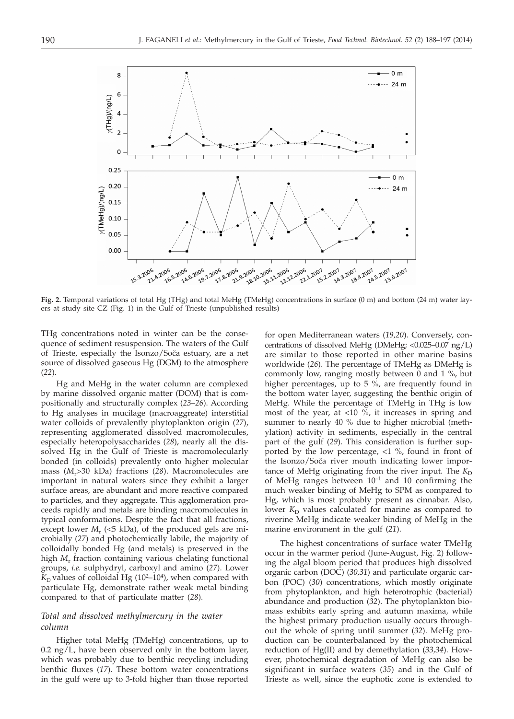

**Fig. 2.** Temporal variations of total Hg (THg) and total MeHg (TMeHg) concentrations in surface (0 m) and bottom (24 m) water layers at study site CZ (Fig. 1) in the Gulf of Trieste (unpublished results)

THg concentrations noted in winter can be the consequence of sediment resuspension. The waters of the Gulf of Trieste, especially the Isonzo/Soča estuary, are a net source of dissolved gaseous Hg (DGM) to the atmosphere (*22*).

Hg and MeHg in the water column are complexed by marine dissolved organic matter (DOM) that is compositionally and structurally complex (*23–26*). According to Hg analyses in mucilage (macroaggreate) interstitial water colloids of prevalently phytoplankton origin (*27*), representing agglomerated dissolved macromolecules, especially heteropolysaccharides (*28*), nearly all the dissolved Hg in the Gulf of Trieste is macromolecularly bonded (in colloids) prevalently onto higher molecular mass (*M*r>30 kDa) fractions (*28*). Macromolecules are important in natural waters since they exhibit a larger surface areas, are abundant and more reactive compared to particles, and they aggregate. This agglomeration proceeds rapidly and metals are binding macromolecules in typical conformations. Despite the fact that all fractions, except lower  $M_r$  (<5 kDa), of the produced gels are microbially (*27*) and photochemically labile, the majority of colloidally bonded Hg (and metals) is preserved in the high *M*<sup>r</sup> fraction containing various chelating functional groups, *i.e.* sulphydryl, carboxyl and amino (*27*). Lower  $K<sub>D</sub>$  values of colloidal Hg (10<sup>2</sup>–10<sup>4</sup>), when compared with particulate Hg, demonstrate rather weak metal binding compared to that of particulate matter (*28*).

## *Total and dissolved methylmercury in the water column*

Higher total MeHg (TMeHg) concentrations, up to  $0.2 \text{ ng/L}$ , have been observed only in the bottom layer, which was probably due to benthic recycling including benthic fluxes (*17*). These bottom water concentrations in the gulf were up to 3-fold higher than those reported

for open Mediterranean waters (*19,20*). Conversely, concentrations of dissolved MeHg (DMeHg; <0.025–0.07 ng/L) are similar to those reported in other marine basins worldwide (*26*). The percentage of TMeHg as DMeHg is commonly low, ranging mostly between 0 and 1 %, but higher percentages, up to 5 %, are frequently found in the bottom water layer, suggesting the benthic origin of MeHg. While the percentage of TMeHg in THg is low most of the year, at <10 %, it increases in spring and summer to nearly 40 % due to higher microbial (methylation) activity in sediments, especially in the central part of the gulf (*29*). This consideration is further supported by the low percentage, <1 %, found in front of the Isonzo/Soča river mouth indicating lower importance of MeHg originating from the river input. The  $K_D$ of MeHg ranges between  $10^{-1}$  and 10 confirming the much weaker binding of MeHg to SPM as compared to Hg, which is most probably present as cinnabar. Also, lower  $K<sub>D</sub>$  values calculated for marine as compared to riverine MeHg indicate weaker binding of MeHg in the marine environment in the gulf (*21*).

The highest concentrations of surface water TMeHg occur in the warmer period (June-August, Fig. 2) following the algal bloom period that produces high dissolved organic carbon (DOC) (*30,31*) and particulate organic carbon (POC) (*30*) concentrations, which mostly originate from phytoplankton, and high heterotrophic (bacterial) abundance and production (*32*). The phytoplankton biomass exhibits early spring and autumn maxima, while the highest primary production usually occurs throughout the whole of spring until summer (*32*). MeHg production can be counterbalanced by the photochemical reduction of Hg(II) and by demethylation (*33,34*). However, photochemical degradation of MeHg can also be significant in surface waters (*35*) and in the Gulf of Trieste as well, since the euphotic zone is extended to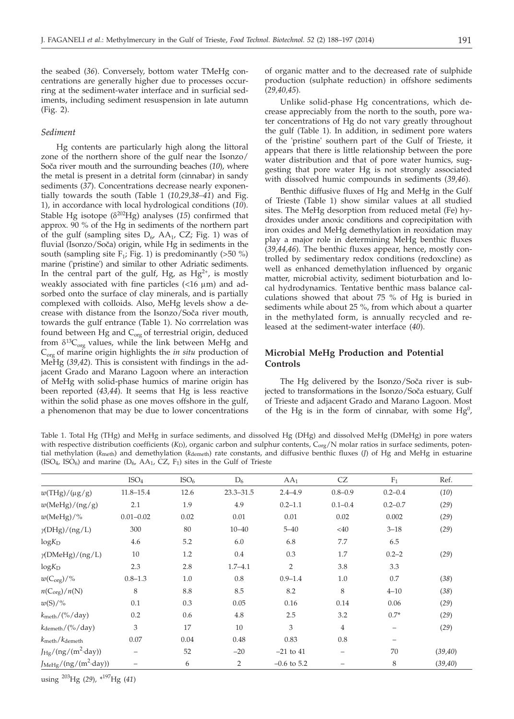the seabed (*36*). Conversely, bottom water TMeHg concentrations are generally higher due to processes occurring at the sediment-water interface and in surficial sediments, including sediment resuspension in late autumn (Fig. 2).

## *Sediment*

Hg contents are particularly high along the littoral zone of the northern shore of the gulf near the Isonzo/ Soča river mouth and the surrounding beaches (10), where the metal is present in a detrital form (cinnabar) in sandy sediments (*37*). Concentrations decrease nearly exponentially towards the south (Table 1 (*10,29,38–41*) and Fig. 1), in accordance with local hydrological conditions (*10*). Stable Hg isotope ( $\delta^{202}$ Hg) analyses (15) confirmed that approx. 90 % of the Hg in sediments of the northern part of the gulf (sampling sites  $D_6$ , AA<sub>1</sub>, CZ; Fig. 1) was of fluvial (Isonzo/Soča) origin, while Hg in sediments in the south (sampling site  $F_1$ ; Fig. 1) is predominantly (>50 %) marine ('pristine') and similar to other Adriatic sediments. In the central part of the gulf, Hg, as  $Hg^{2+}$ , is mostly weakly associated with fine particles  $($  < 16  $\mu$ m) and adsorbed onto the surface of clay minerals, and is partially complexed with colloids. Also, MeHg levels show a decrease with distance from the Isonzo/Soča river mouth, towards the gulf entrance (Table 1). No corrrelation was found between Hg and  $C_{org}$  of terrestrial origin, deduced from  $\delta^{13}C_{\text{ore}}$  values, while the link between MeHg and Corg of marine origin highlights the *in situ* production of MeHg (*39,42*). This is consistent with findings in the adjacent Grado and Marano Lagoon where an interaction of MeHg with solid-phase humics of marine origin has been reported (*43,44*). It seems that Hg is less reactive within the solid phase as one moves offshore in the gulf, a phenomenon that may be due to lower concentrations of organic matter and to the decreased rate of sulphide production (sulphate reduction) in offshore sediments (*29,40,45*).

Unlike solid-phase Hg concentrations, which decrease appreciably from the north to the south, pore water concentrations of Hg do not vary greatly throughout the gulf (Table 1). In addition, in sediment pore waters of the 'pristine' southern part of the Gulf of Trieste, it appears that there is little relationship between the pore water distribution and that of pore water humics, suggesting that pore water Hg is not strongly associated with dissolved humic compounds in sediments (*39,46*).

Benthic diffusive fluxes of Hg and MeHg in the Gulf of Trieste (Table 1) show similar values at all studied sites. The MeHg desorption from reduced metal (Fe) hydroxides under anoxic conditions and coprecipitation with iron oxides and MeHg demethylation in reoxidation may play a major role in determining MeHg benthic fluxes (*39,44,46*). The benthic fluxes appear, hence, mostly controlled by sedimentary redox conditions (redoxcline) as well as enhanced demethylation influenced by organic matter, microbial activity, sediment bioturbation and local hydrodynamics. Tentative benthic mass balance calculations showed that about 75 % of Hg is buried in sediments while about 25 %, from which about a quarter in the methylated form, is annually recycled and released at the sediment-water interface (*40*).

# **Microbial MeHg Production and Potential Controls**

The Hg delivered by the Isonzo/Soča river is subjected to transformations in the Isonzo/Soča estuary, Gulf of Trieste and adjacent Grado and Marano Lagoon. Most of the Hg is in the form of cinnabar, with some  $Hg^0$ ,

Table 1. Total Hg (THg) and MeHg in surface sediments, and dissolved Hg (DHg) and dissolved MeHg (DMeHg) in pore waters with respective distribution coefficients (*K*<sub>D</sub>), organic carbon and sulphur contents, C<sub>org</sub>/N molar ratios in surface sediments, potential methylation (*k*<sub>meth</sub>) and demethylation (*k*<sub>demeth</sub>) rate constants, and diffusive benthic fluxes (*J*) of Hg and MeHg in estuarine (ISO<sub>4</sub>, ISO<sub>6</sub>) and marine ( $D_6$ , AA<sub>1</sub>, CZ, F<sub>1</sub>) sites in the Gulf of Trieste

|                                               | ISO <sub>4</sub> | ISO <sub>6</sub> | $D_6$         | AA <sub>1</sub> | CZ                | $F_1$             | Ref.     |
|-----------------------------------------------|------------------|------------------|---------------|-----------------|-------------------|-------------------|----------|
| $w(THg)/(\mu g/g)$                            | $11.8 - 15.4$    | 12.6             | $23.3 - 31.5$ | $2.4 - 4.9$     | $0.8 - 0.9$       | $0.2 - 0.4$       | (10)     |
| $w(\text{MeHg})/(ng/g)$                       | 2.1              | 1.9              | 4.9           | $0.2 - 1.1$     | $0.1 - 0.4$       | $0.2 - 0.7$       | (29)     |
| $w(\text{MeHg})/\%$                           | $0.01 - 0.02$    | 0.02             | 0.01          | 0.01            | 0.02              | 0.002             | (29)     |
| $\gamma$ (DHg)/(ng/L)                         | 300              | 80               | $10 - 40$     | $5 - 40$        | $<$ 40            | $3 - 18$          | (29)     |
| $log K_D$                                     | 4.6              | 5.2              | 6.0           | 6.8             | 7.7               | 6.5               |          |
| $\gamma$ (DMeHg)/(ng/L)                       | 10               | 1.2              | 0.4           | 0.3             | 1.7               | $0.2 - 2$         | (29)     |
| $log K_D$                                     | 2.3              | 2.8              | $1.7 - 4.1$   | $\overline{2}$  | 3.8               | 3.3               |          |
| $w(C_{\text{org}})/\%$                        | $0.8 - 1.3$      | 1.0              | 0.8           | $0.9 - 1.4$     | 1.0               | 0.7               | (38)     |
| $n(C_{org})/n(N)$                             | 8                | 8.8              | 8.5           | 8.2             | 8                 | $4 - 10$          | (38)     |
| $w(S)/\%$                                     | 0.1              | 0.3              | 0.05          | 0.16            | 0.14              | 0.06              | (29)     |
| $k_{\text{meth}}/(% / day)$                   | 0.2              | 0.6              | 4.8           | 2.5             | 3.2               | $0.7*$            | (29)     |
| $k_{\text{demeth}}/(% / \text{day})$          | 3                | 17               | 10            | 3               | $\overline{4}$    | $\qquad \qquad -$ | (29)     |
| $k_{\text{meth}}/k_{\text{demeth}}$           | 0.07             | 0.04             | 0.48          | 0.83            | 0.8               | -                 |          |
| $J_{\text{Hg}}/(ng/(m^2 \text{day}))$         | -                | 52               | $-20$         | $-21$ to $41$   | $\qquad \qquad -$ | 70                | (39, 40) |
| $J_{\text{MeHg}}/(ng/(m^2 \cdot \text{day}))$ |                  | 6                | 2             | $-0.6$ to 5.2   | -                 | 8                 | (39, 40) |

using 203Hg (*29*), \*197Hg (*41*)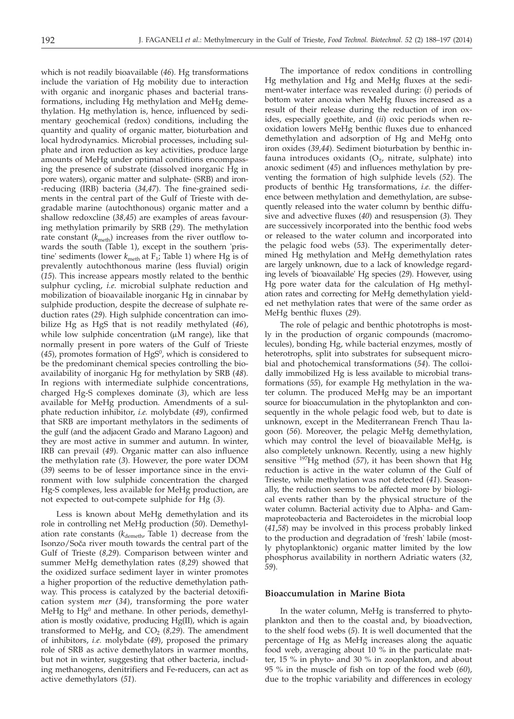which is not readily bioavailable (*46*). Hg transformations include the variation of Hg mobility due to interaction with organic and inorganic phases and bacterial transformations, including Hg methylation and MeHg demethylation. Hg methylation is, hence, influenced by sedimentary geochemical (redox) conditions, including the quantity and quality of organic matter, bioturbation and local hydrodynamics. Microbial processes, including sulphate and iron reduction as key activities, produce large amounts of MeHg under optimal conditions encompassing the presence of substrate (dissolved inorganic Hg in pore waters), organic matter and sulphate- (SRB) and iron- -reducing (IRB) bacteria (*34,47*). The fine-grained sediments in the central part of the Gulf of Trieste with degradable marine (autochthonous) organic matter and a shallow redoxcline (*38,45*) are examples of areas favouring methylation primarily by SRB (*29*). The methylation rate constant  $(k<sub>meth</sub>)$  increases from the river outflow towards the south (Table 1), except in the southern 'pristine' sediments (lower  $k_{\text{meth}}$  at  $F_1$ ; Table 1) where Hg is of prevalently autochthonous marine (less fluvial) origin (*15*). This increase appears mostly related to the benthic sulphur cycling, *i.e.* microbial sulphate reduction and mobilization of bioavailable inorganic Hg in cinnabar by sulphide production, despite the decrease of sulphate reduction rates (*29*). High sulphide concentration can imobilize Hg as HgS that is not readily methylated (*46*), while low sulphide concentration  $(\mu M \text{ range})$ , like that normally present in pore waters of the Gulf of Trieste  $(45)$ , promotes formation of HgS<sup>0</sup>, which is considered to be the predominant chemical species controlling the bioavailability of inorganic Hg for methylation by SRB (*48*). In regions with intermediate sulphide concentrations, charged Hg-S complexes dominate (*3*), which are less available for MeHg production. Amendments of a sulphate reduction inhibitor, *i.e.* molybdate (*49*), confirmed that SRB are important methylators in the sediments of the gulf (and the adjacent Grado and Marano Lagoon) and they are most active in summer and autumn. In winter, IRB can prevail (*49*). Organic matter can also influence the methylation rate (*3*). However, the pore water DOM (*39*) seems to be of lesser importance since in the environment with low sulphide concentration the charged Hg-S complexes, less available for MeHg production, are not expected to out-compete sulphide for Hg (*3*).

Less is known about MeHg demethylation and its role in controlling net MeHg production (*50*). Demethylation rate constants ( $k_{\text{demeth}}$ , Table 1) decrease from the Isonzo/Soča river mouth towards the central part of the Gulf of Trieste (*8,29*). Comparison between winter and summer MeHg demethylation rates (*8,29*) showed that the oxidized surface sediment layer in winter promotes a higher proportion of the reductive demethylation pathway. This process is catalyzed by the bacterial detoxification system *mer* (*34*), transforming the pore water MeHg to  $Hg<sup>0</sup>$  and methane. In other periods, demethylation is mostly oxidative, producing Hg(II), which is again transformed to MeHg, and  $CO<sub>2</sub>$  (8,29). The amendment of inhibitors, *i.e.* molybdate (*49*), proposed the primary role of SRB as active demethylators in warmer months, but not in winter, suggesting that other bacteria, including methanogens, denitrifiers and Fe-reducers, can act as active demethylators (*51*).

The importance of redox conditions in controlling Hg methylation and Hg and MeHg fluxes at the sediment-water interface was revealed during: (*i*) periods of bottom water anoxia when MeHg fluxes increased as a result of their release during the reduction of iron oxides, especially goethite, and (*ii*) oxic periods when reoxidation lowers MeHg benthic fluxes due to enhanced demethylation and adsorption of Hg and MeHg onto iron oxides (*39,44*). Sediment bioturbation by benthic infauna introduces oxidants  $(O<sub>2</sub>)$ , nitrate, sulphate) into anoxic sediment (*45*) and influences methylation by preventing the formation of high sulphide levels (*52*). The products of benthic Hg transformations, *i.e.* the difference between methylation and demethylation, are subsequently released into the water column by benthic diffusive and advective fluxes (*40*) and resuspension (*3*). They are successively incorporated into the benthic food webs or released to the water column and incorporated into the pelagic food webs (*53*). The experimentally determined Hg methylation and MeHg demethylation rates are largely unknown, due to a lack of knowledge regarding levels of 'bioavailable' Hg species (*29*). However, using Hg pore water data for the calculation of Hg methylation rates and correcting for MeHg demethylation yielded net methylation rates that were of the same order as MeHg benthic fluxes (*29*).

The role of pelagic and benthic phototrophs is mostly in the production of organic compounds (macromolecules), bonding Hg, while bacterial enzymes, mostly of heterotrophs, split into substrates for subsequent microbial and photochemical transformations (*54*). The colloidally immobilized Hg is less available to microbial transformations (*55*), for example Hg methylation in the water column. The produced MeHg may be an important source for bioaccumulation in the phytoplankton and consequently in the whole pelagic food web, but to date is unknown, except in the Mediterranean French Thau lagoon (*56*). Moreover, the pelagic MeHg demethylation, which may control the level of bioavailable MeHg, is also completely unknown. Recently, using a new highly sensitive 197Hg method (*57*), it has been shown that Hg reduction is active in the water column of the Gulf of Trieste, while methylation was not detected (*41*). Seasonally, the reduction seems to be affected more by biological events rather than by the physical structure of the water column. Bacterial activity due to Alpha- and Gammaproteobacteria and Bacteroidetes in the microbial loop (*41*,*58*) may be involved in this process probably linked to the production and degradation of 'fresh' labile (mostly phytoplanktonic) organic matter limited by the low phosphorus availability in northern Adriatic waters (*32, 59*).

#### **Bioaccumulation in Marine Biota**

In the water column, MeHg is transferred to phytoplankton and then to the coastal and, by bioadvection, to the shelf food webs (*5*). It is well documented that the percentage of Hg as MeHg increases along the aquatic food web, averaging about 10 % in the particulate matter, 15 % in phyto- and 30 % in zooplankton, and about 95 % in the muscle of fish on top of the food web (*60*), due to the trophic variability and differences in ecology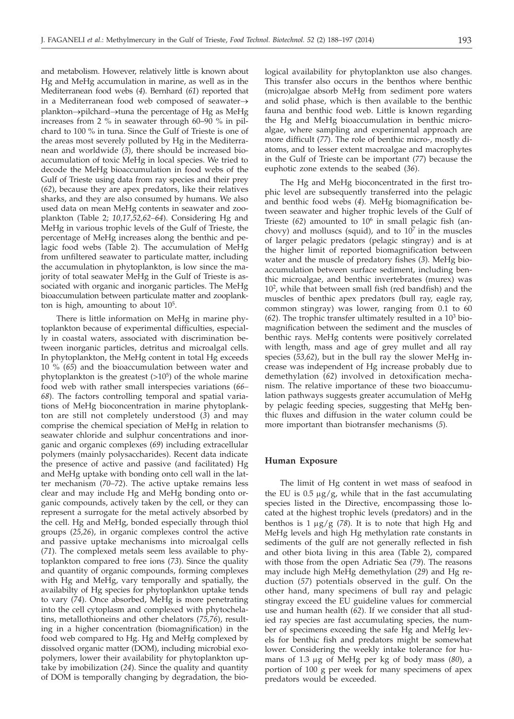and metabolism. However, relatively little is known about Hg and MeHg accumulation in marine, as well as in the Mediterranean food webs (*4*). Bernhard (*61*) reported that in a Mediterranean food web composed of seawater $\rightarrow$ plankton→pilchard→tuna the percentage of Hg as MeHg increases from 2 % in seawater through 60–90 % in pilchard to 100 % in tuna. Since the Gulf of Trieste is one of the areas most severely polluted by Hg in the Mediterranean and worldwide (*3*), there should be increased bioaccumulation of toxic MeHg in local species. We tried to decode the MeHg bioaccumulation in food webs of the Gulf of Trieste using data from ray species and their prey (*62*), because they are apex predators, like their relatives sharks, and they are also consumed by humans. We also used data on mean MeHg contents in seawater and zooplankton (Table 2; *10,17,52,62–64*). Considering Hg and MeHg in various trophic levels of the Gulf of Trieste, the percentage of MeHg increases along the benthic and pelagic food webs (Table 2). The accumulation of MeHg from unfiltered seawater to particulate matter, including the accumulation in phytoplankton, is low since the majority of total seawater MeHg in the Gulf of Trieste is associated with organic and inorganic particles. The MeHg bioaccumulation between particulate matter and zooplankton is high, amounting to about  $10<sup>5</sup>$ .

There is little information on MeHg in marine phytoplankton because of experimental difficulties, especially in coastal waters, associated with discrimination between inorganic particles, detritus and microalgal cells. In phytoplankton, the MeHg content in total Hg exceeds 10 % (*65*) and the bioaccumulation between water and phytoplankton is the greatest  $(>10<sup>5</sup>)$  of the whole marine food web with rather small interspecies variations (*66– 68*). The factors controlling temporal and spatial variations of MeHg bioconcentration in marine phytoplankton are still not completely understood (*3*) and may comprise the chemical speciation of MeHg in relation to seawater chloride and sulphur concentrations and inorganic and organic complexes (*69*) including extracellular polymers (mainly polysaccharides). Recent data indicate the presence of active and passive (and facilitated) Hg and MeHg uptake with bonding onto cell wall in the latter mechanism (*70–72*). The active uptake remains less clear and may include Hg and MeHg bonding onto organic compounds, actively taken by the cell, or they can represent a surrogate for the metal actively absorbed by the cell. Hg and MeHg, bonded especially through thiol groups (*25,26*), in organic complexes control the active and passive uptake mechanisms into microalgal cells (*71*). The complexed metals seem less available to phytoplankton compared to free ions (*73*). Since the quality and quantity of organic compounds, forming complexes with Hg and MeHg, vary temporally and spatially, the availabilty of Hg species for phytoplankton uptake tends to vary (*74*). Once absorbed, MeHg is more penetrating into the cell cytoplasm and complexed with phytochelatins, metallothioneins and other chelators (*75,76*), resulting in a higher concentration (biomagnification) in the food web compared to Hg. Hg and MeHg complexed by dissolved organic matter (DOM), including microbial exopolymers, lower their availability for phytoplankton uptake by imobilization (*24*). Since the quality and quantity of DOM is temporally changing by degradation, the bio-

logical availability for phytoplankton use also changes. This transfer also occurs in the benthos where benthic (micro)algae absorb MeHg from sediment pore waters and solid phase, which is then available to the benthic fauna and benthic food web. Little is known regarding the Hg and MeHg bioaccumulation in benthic microalgae, where sampling and experimental approach are more difficult (*77*). The role of benthic micro-, mostly diatoms, and to lesser extent macroalgae and macrophytes in the Gulf of Trieste can be important (*77*) because the euphotic zone extends to the seabed (*36*).

The Hg and MeHg bioconcentrated in the first trophic level are subsequently transferred into the pelagic and benthic food webs (*4*). MeHg biomagnification between seawater and higher trophic levels of the Gulf of Trieste  $(62)$  amounted to  $10<sup>6</sup>$  in small pelagic fish (anchovy) and molluscs (squid), and to  $10<sup>7</sup>$  in the muscles of larger pelagic predators (pelagic stingray) and is at the higher limit of reported biomagnification between water and the muscle of predatory fishes (*3*). MeHg bioaccumulation between surface sediment, including benthic microalgae, and benthic invertebrates (murex) was 102 , while that between small fish (red bandfish) and the muscles of benthic apex predators (bull ray, eagle ray, common stingray) was lower, ranging from 0.1 to 60  $(62)$ . The trophic transfer ultimately resulted in a  $10<sup>3</sup>$  biomagnification between the sediment and the muscles of benthic rays. MeHg contents were positively correlated with length, mass and age of grey mullet and all ray species (*53,62*), but in the bull ray the slower MeHg increase was independent of Hg increase probably due to demethylation (*62*) involved in detoxification mechanism. The relative importance of these two bioaccumulation pathways suggests greater accumulation of MeHg by pelagic feeding species, suggesting that MeHg benthic fluxes and diffusion in the water column could be more important than biotransfer mechanisms (*5*).

#### **Human Exposure**

The limit of Hg content in wet mass of seafood in the EU is  $0.5 \mu g/g$ , while that in the fast accumulating species listed in the Directive, encompassing those located at the highest trophic levels (predators) and in the benthos is  $1 \mu g / g$  (78). It is to note that high Hg and MeHg levels and high Hg methylation rate constants in sediments of the gulf are not generally reflected in fish and other biota living in this area (Table 2), compared with those from the open Adriatic Sea (*79*). The reasons may include high MeHg demethylation (*29*) and Hg reduction (*57*) potentials observed in the gulf. On the other hand, many specimens of bull ray and pelagic stingray exceed the EU guideline values for commercial use and human health (*62*). If we consider that all studied ray species are fast accumulating species, the number of specimens exceeding the safe Hg and MeHg levels for benthic fish and predators might be somewhat lower. Considering the weekly intake tolerance for humans of 1.3 mg of MeHg per kg of body mass (*80*), a portion of 100 g per week for many specimens of apex predators would be exceeded.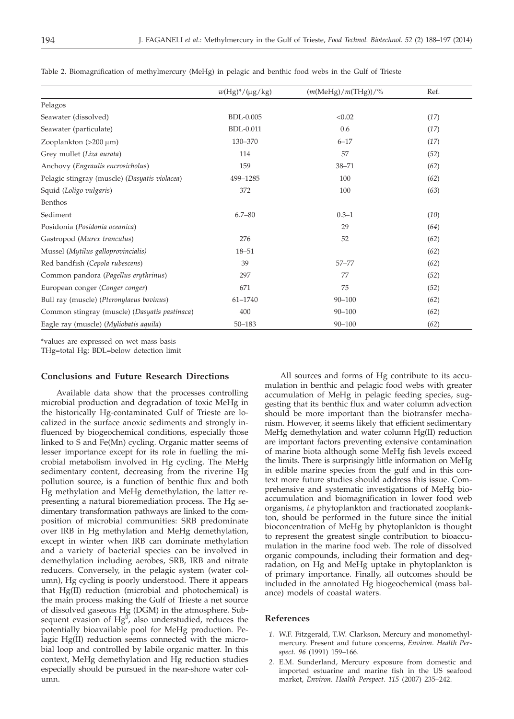|                                               | $w(Hg)^*/(\mu g/kg)$ | $(m(MeHg)/m(THg))/\%$ | Ref. |
|-----------------------------------------------|----------------------|-----------------------|------|
| Pelagos                                       |                      |                       |      |
| Seawater (dissolved)                          | <b>BDL-0.005</b>     | < 0.02                | (17) |
| Seawater (particulate)                        | <b>BDL-0.011</b>     | 0.6                   | (17) |
| Zooplankton $(>200 \mu m)$                    | 130-370              | $6 - 17$              | (17) |
| Grey mullet (Liza aurata)                     | 114                  | 57                    | (52) |
| Anchovy (Engraulis encrosicholus)             | 159                  | $38 - 71$             | (62) |
| Pelagic stingray (muscle) (Dasyatis violacea) | 499-1285             | 100                   | (62) |
| Squid (Loligo vulgaris)                       | 372                  | 100                   | (63) |
| Benthos                                       |                      |                       |      |
| Sediment                                      | $6.7 - 80$           | $0.3 - 1$             | (10) |
| Posidonia (Posidonia oceanica)                |                      | 29                    | (64) |
| Gastropod (Murex tranculus)                   | 276                  | 52                    | (62) |
| Mussel (Mytilus galloprovincialis)            | $18 - 51$            |                       | (62) |
| Red bandfish (Cepola rubescens)               | 39                   | $57 - 77$             | (62) |
| Common pandora (Pagellus erythrinus)          | 297                  | 77                    | (52) |
| European conger (Conger conger)               | 671                  | 75                    | (52) |
| Bull ray (muscle) (Pteronylaeus bovinus)      | $61 - 1740$          | $90 - 100$            | (62) |
| Common stingray (muscle) (Dasyatis pastinaca) | 400                  | $90 - 100$            | (62) |
| Eagle ray (muscle) (Myliobatis aquila)        | $50 - 183$           | $90 - 100$            | (62) |

Table 2. Biomagnification of methylmercury (MeHg) in pelagic and benthic food webs in the Gulf of Trieste

\*values are expressed on wet mass basis

THg=total Hg; BDL=below detection limit

## **Conclusions and Future Research Directions**

Available data show that the processes controlling microbial production and degradation of toxic MeHg in the historically Hg-contaminated Gulf of Trieste are localized in the surface anoxic sediments and strongly influenced by biogeochemical conditions, especially those linked to S and Fe(Mn) cycling. Organic matter seems of lesser importance except for its role in fuelling the microbial metabolism involved in Hg cycling. The MeHg sedimentary content, decreasing from the riverine Hg pollution source, is a function of benthic flux and both Hg methylation and MeHg demethylation, the latter representing a natural bioremediation process. The Hg sedimentary transformation pathways are linked to the composition of microbial communities: SRB predominate over IRB in Hg methylation and MeHg demethylation, except in winter when IRB can dominate methylation and a variety of bacterial species can be involved in demethylation including aerobes, SRB, IRB and nitrate reducers. Conversely, in the pelagic system (water column), Hg cycling is poorly understood. There it appears that Hg(II) reduction (microbial and photochemical) is the main process making the Gulf of Trieste a net source of dissolved gaseous Hg (DGM) in the atmosphere. Subsequent evasion of  $Hg^0$ , also understudied, reduces the potentially bioavailable pool for MeHg production. Pelagic Hg(II) reduction seems connected with the microbial loop and controlled by labile organic matter. In this context, MeHg demethylation and Hg reduction studies especially should be pursued in the near-shore water column.

All sources and forms of Hg contribute to its accumulation in benthic and pelagic food webs with greater accumulation of MeHg in pelagic feeding species, suggesting that its benthic flux and water column advection should be more important than the biotransfer mechanism. However, it seems likely that efficient sedimentary MeHg demethylation and water column Hg(II) reduction are important factors preventing extensive contamination of marine biota although some MeHg fish levels exceed the limits. There is surprisingly little information on MeHg in edible marine species from the gulf and in this context more future studies should address this issue. Comprehensive and systematic investigations of MeHg bioaccumulation and biomagnification in lower food web organisms, *i.e* phytoplankton and fractionated zooplankton, should be performed in the future since the initial bioconcentration of MeHg by phytoplankton is thought to represent the greatest single contribution to bioaccumulation in the marine food web. The role of dissolved organic compounds, including their formation and degradation, on Hg and MeHg uptake in phytoplankton is of primary importance. Finally, all outcomes should be included in the annotated Hg biogeochemical (mass balance) models of coastal waters.

## **References**

- *1.* W.F. Fitzgerald, T.W. Clarkson, Mercury and monomethylmercury. Present and future concerns, *Environ. Health Perspect. 96* (1991) 159–166.
- *2.* E.M. Sunderland, Mercury exposure from domestic and imported estuarine and marine fish in the US seafood market, *Environ. Health Perspect. 115* (2007) 235–242.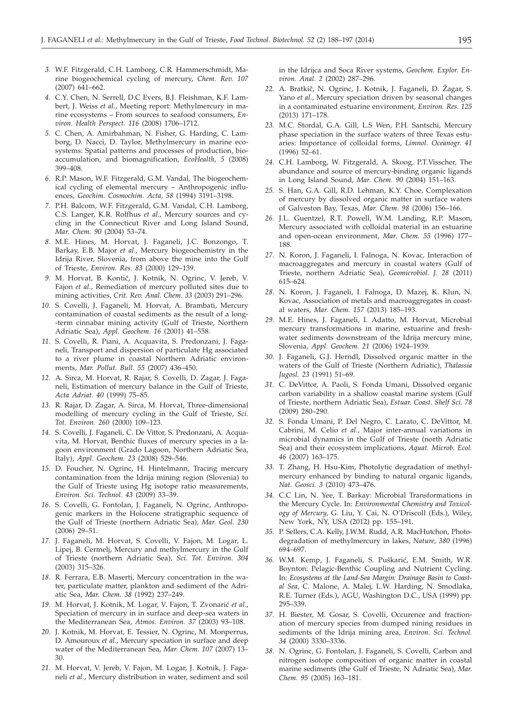- *3.* W.F. Fitzgerald, C.H. Lamborg, C.R. Hammerschmidt, Marine biogeochemical cycling of mercury, *Chem. Rev. 107* (2007) 641–662.
- *4.* C.Y. Chen, N. Serrell, D.C Evers, B.J. Fleishman, K.F. Lambert, J. Weiss *et al*., Meeting report: Methylmercury in marine ecosystems – From sources to seafood consumers, *Environ. Health Perspect. 116* (2008) 1706–1712.
- *5.* C. Chen, A. Amirbahman, N. Fisher, G. Harding, C. Lamborg, D. Nacci, D. Taylor, Methylmercury in marine ecosystems: Spatial patterns and processes of production, bioaccumulation, and biomagnification, *EcoHealth, 5* (2008) 399–408.
- *6.* R.P. Mason, W.F. Fitzgerald, G.M. Vandal, The biogeochemical cycling of elemental mercury – Anthropogenic influences, *Geochim. Cosmochim. Acta, 58* (1994) 3191–3198.
- *7.* P.H. Balcom, W.F. Fitzgerald, G.M. Vandal, C.H. Lamborg, C.S. Langer, K.R. Rolfhus *et al*., Mercury sources and cycling in the Connecticut River and Long Island Sound, *Mar. Chem. 90* (2004) 53–74.
- *8.* M.E. Hines, M. Horvat, J. Faganeli, J.C. Bonzongo, T. Barkay, E.B. Major *et al*., Mercury biogeochemistry in the Idrija River, Slovenia, from above the mine into the Gulf of Trieste, *Environ. Res. 83* (2000) 129–139.
- 9. M. Horvat, B. Kontič, J. Kotnik, N. Ogrinc, V. Jereb, V. Fajon *et al*., Remediation of mercury polluted sites due to mining activities, *Crit. Rev. Anal. Chem. 33* (2003) 291–296.
- *10.* S. Covelli, J. Faganeli, M. Horvat, A. Brambati, Mercury contamination of coastal sediments as the result of a long- -term cinnabar mining activity (Gulf of Trieste, Northern Adriatic Sea), *Appl. Geochem. 16* (2001) 41–558.
- *11.* S. Covelli, R. Piani, A. Acquavita, S. Predonzani, J. Faganeli, Transport and dispersion of particulate Hg associated to a river plume in coastal Northern Adriatic environments, *Mar. Pollut. Bull. 55* (2007) 436–450.
- *12.* A. Sirca, M. Horvat, R. Rajar, S. Covelli, D. Zagar, J. Faganeli, Estimation of mercury balance in the Gulf of Trieste, *Acta Adriat. 40* (1999) 75–85.
- *13.* R. Rajar, D. Zagar, A. Sirca, M. Horvat, Three-dimensional modelling of mercury cycling in the Gulf of Trieste, *Sci. Tot. Environ. 260* (2000) 109–123.
- *14.* S. Covelli, J. Faganeli, C. De Vittor, S. Predonzani, A. Acquavita, M. Horvat, Benthic fluxes of mercury species in a lagoon environment (Grado Lagoon, Northern Adriatic Sea, Italy), *Appl. Geochem. 23* (2008) 529–546.
- *15.* D. Foucher, N. Ogrinc, H. Hintelmann, Tracing mercury contamination from the Idrija mining region (Slovenia) to the Gulf of Trieste using Hg isotope ratio measurements, *Environ. Sci. Technol. 43* (2009) 33–39.
- *16.* S. Covelli, G. Fontolan, J. Faganeli, N. Ogrinc, Anthropogenic markers in the Holocene stratigraphic sequence of the Gulf of Trieste (northern Adriatic Sea), *Mar. Geol. 230* (2006) 29–51.
- *17.* J. Faganeli, M. Horvat, S. Covelli, V. Fajon, M. Logar, L. Lipej, B. Cermelj, Mercury and methylmercury in the Gulf of Trieste (northern Adriatic Sea), *Sci. Tot. Environ. 304* (2003) 315–326.
- *18.* R. Ferrara, E.B. Maserti, Mercury concentration in the water, particulate matter, plankton and sediment of the Adriatic Sea, *Mar. Chem. 38* (1992) 237–249.
- 19. M. Horvat, J. Kotnik, M. Logar, V. Fajon, T. Zvonarić et al., Speciation of mercury in in surface and deep-sea waters in the Mediterranean Sea, *Atmos. Environ. 37* (2003) 93–108.
- *20.* J. Kotnik, M. Horvat, E. Tessier, N. Ogrinc, M. Monperrus, D. Amouroux *et al.*, Mercury speciation in surface and deep water of the Mediterranean Sea, *Mar. Chem. 107* (2007) 13– 30.
- *21.* M. Horvat, V. Jereb, V. Fajon, M. Logar, J. Kotnik, J. Faganeli *et al*., Mercury distribution in water, sediment and soil

in the Idrijca and Soca River systems, *Geochem. Explor. Environ. Anal. 2* (2002) 287–296.

- 22. A. Bratkič, N. Ogrinc, J. Kotnik, J. Faganeli, D. Žagar, S. Yano *et al.*, Mercury speciation driven by seasonal changes in a contaminated estuarine environment, *Environ. Res. 125* (2013) 171–178.
- *23.* M.C. Stordal, G.A. Gill, L.S Wen, P.H. Santschi, Mercury phase speciation in the surface waters of three Texas estuaries: Importance of colloidal forms, *Limnol. Oceanogr. 41* (1996) 52–61.
- *24.* C.H. Lamborg, W. Fitzgerald, A. Skoog, P.T.Visscher, The abundance and source of mercury-binding organic ligands in Long Island Sound, *Mar. Chem. 90* (2004) 151–163.
- *25.* S. Han, G.A. Gill, R.D. Lehman, K.Y. Choe, Complexation of mercury by dissolved organic matter in surface waters of Galveston Bay, Texas, *Mar. Chem. 98* (2006) 156–166.
- *26.* J.L. Guentzel, R.T. Powell, W.M. Landing, R.P. Mason, Mercury associated with colloidal material in an estuarine and open-ocean environment, *Mar. Chem. 55* (1996) 177– 188.
- *27.* N. Koron, J. Faganeli, I. Falnoga, N. Kovac, Interaction of macroaggregates and mercury in coastal waters (Gulf of Trieste, northern Adriatic Sea), *Geomicrobiol. J. 28* (2011) 615–624.
- *28.* N. Koron, J. Faganeli, I. Falnoga, D. Mazej, K. Klun, N. Kovac, Association of metals and macroaggregates in coastal waters, *Mar. Chem. 157* (2013) 185–193.
- *29.* M.E. Hines, J. Faganeli, I. Adatto, M. Horvat, Microbial mercury transformations in marine, estuarine and freshwater sediments downstream of the Idrija mercury mine, Slovenia, *Appl. Geochem. 21* (2006) 1924–1939.
- *30.* J. Faganeli, G.J. Herndl, Dissolved organic matter in the waters of the Gulf of Trieste (Northern Adriatic), *Thalassia Jugosl. 23* (1991) 51–69.
- *31.* C. DeVittor, A. Paoli, S. Fonda Umani, Dissolved organic carbon variability in a shallow coastal marine system (Gulf of Trieste, northern Adriatic Sea), *Estuar. Coast. Shelf Sci. 78* (2009) 280–290.
- *32.* S. Fonda Umani, P. Del Negro, C. Larato, C. DeVittor, M. Cabrini, M. Celio *et al*., Major inter-annual variations in microbial dynamics in the Gulf of Trieste (north Adriatic Sea) and their ecosystem implications, *Aquat. Microb. Ecol. 46* (2007) 163–175.
- *33.* T. Zhang, H. Hsu-Kim, Photolytic degradation of methylmercury enhanced by binding to natural organic ligands, *Nat. Geosci. 3* (2010) 473–476.
- *34.* C.C Lin, N. Yee, T. Barkay: Microbial Transformations in the Mercury Cycle. In: *Environmental Chemistry and Toxicology of Mercury*, G. Liu, Y. Cai, N. O'Driscoll (Eds.), Wiley, New York, NY, USA (2012) pp. 155–191.
- *35.* P. Sellers, C.A. Kelly, J.W.M. Rudd, A.R. MacHutchon, Photodegradation of methylmercury in lakes, *Nature, 380* (1996) 694–697.
- 36. W.M. Kemp, J. Faganeli, S. Puškarić, E.M. Smith, W.R. Boynton: Pelagic-Benthic Coupling and Nutrient Cycling. In: *Ecosystems at the Land-Sea Margin: Drainage Basin to Coastal Sea*, C. Malone, A. Malej, L.W. Harding, N. Smodlaka, R.E. Turner (Eds.), AGU, Washington D.C., USA (1999) pp. 295–339.
- *37.* H. Biester, M. Gosar, S. Covelli, Occurence and fractionation of mercury species from dumped nining residues in sediments of the Idrija mining area, *Environ. Sci. Technol. 34* (2000) 3330–3336.
- *38.* N. Ogrinc, G. Fontolan, J. Faganeli, S. Covelli, Carbon and nitrogen isotope composition of organic matter in coastal marine sediments (the Gulf of Trieste, N Adriatic Sea), *Mar. Chem. 95* (2005) 163–181.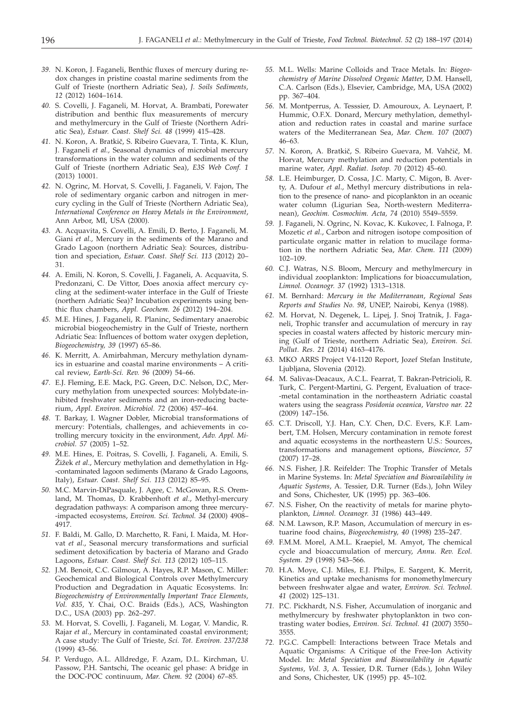- *39.* N. Koron, J. Faganeli, Benthic fluxes of mercury during redox changes in pristine coastal marine sediments from the Gulf of Trieste (northern Adriatic Sea), *J. Soils Sediments, 12* (2012) 1604–1614.
- *40.* S. Covelli, J. Faganeli, M. Horvat, A. Brambati, Porewater distribution and benthic flux measurements of mercury and methylmercury in the Gulf of Trieste (Northern Adriatic Sea), *Estuar. Coast. Shelf Sci. 48* (1999) 415–428.
- 41. N. Koron, A. Bratkič, S. Ribeiro Guevara, T. Tinta, K. Klun, J. Faganeli *et al.,* Seasonal dynamics of microbial mercury transformations in the water column and sediments of the Gulf of Trieste (northern Adriatic Sea), *E3S Web Conf. 1* (2013) 10001.
- *42.* N. Ogrinc, M. Horvat, S. Covelli, J. Faganeli, V. Fajon, The role of sedimentary organic carbon and nitrogen in mercury cycling in the Gulf of Trieste (Northern Adriatic Sea), *International Conference on Heavy Metals in the Environment*, Ann Arbor, MI, USA (2000).
- *43.* A. Acquavita, S. Covelli, A. Emili, D. Berto, J. Faganeli, M. Giani *et al.,* Mercury in the sediments of the Marano and Grado Lagoon (northern Adriatic Sea): Sources, distribution and speciation, *Estuar. Coast. Shelf Sci. 113* (2012) 20– 31.
- *44.* A. Emili, N. Koron, S. Covelli, J. Faganeli, A. Acquavita, S. Predonzani, C. De Vittor, Does anoxia affect mercury cycling at the sediment-water interface in the Gulf of Trieste (northern Adriatic Sea)? Incubation experiments using benthic flux chambers, *Appl. Geochem. 26* (2012) 194–204.
- *45.* M.E. Hines, J. Faganeli, R. Planinc, Sedimentary anaerobic microbial biogeochemistry in the Gulf of Trieste, northern Adriatic Sea: Influences of bottom water oxygen depletion, *Biogeochemistry, 39* (1997) 65–86.
- *46.* K. Merritt, A. Amirbahman, Mercury methylation dynamics in estuarine and coastal marine environments – A critical review, *Earth-Sci. Rev. 96* (2009) 54–66.
- *47.* E.J. Fleming, E.E. Mack, P.G. Green, D.C. Nelson, D.C, Mercury methylation from unexpected sources: Molybdate-inhibited freshwater sediments and an iron-reducing bacterium, *Appl. Environ. Microbiol. 72* (2006) 457–464.
- *48.* T. Barkay, I. Wagner Dobler, Microbial transformations of mercury: Potentials, challenges, and achievements in cotrolling mercury toxicity in the environment, *Adv. Appl. Microbiol. 57* (2005) 1–52.
- *49.* M.E. Hines, E. Poitras, S. Covelli, J. Faganeli, A. Emili, S. Žižek et al., Mercury methylation and demethylation in Hg--contaminated lagoon sediments (Marano & Grado Lagoons, Italy), *Estuar. Coast. Shelf Sci. 113* (2012) 85–95.
- *50.* M.C. Marvin-DiPasquale, J. Agee, C. McGowan, R.S. Oremland, M. Thomas, D. Krabbenhoft *et al*., Methyl-mercury degradation pathways: A comparison among three mercury- -impacted ecosystems, *Environ. Sci. Technol. 34* (2000) 4908– 4917.
- *51.* F. Baldi, M. Gallo, D. Marchetto, R. Fani, I. Maida, M. Horvat *et al*., Seasonal mercury transformations and surficial sediment detoxification by bacteria of Marano and Grado Lagoons, *Estuar. Coast. Shelf Sci. 113* (2012) 105–115.
- *52.* J.M. Benoit, C.C. Gilmour, A. Hayes, R.P. Mason, C. Miller: Geochemical and Biological Controls over Methylmercury Production and Degradation in Aquatic Ecosystems. In: *Biogeochemistry of Environmentally Important Trace Elements, Vol. 835*, Y. Chai, O.C. Braids (Eds.), ACS, Washington D.C., USA (2003) pp. 262–297.
- *53.* M. Horvat, S. Covelli, J. Faganeli, M. Logar, V. Mandic, R. Rajar *et al*., Mercury in contaminated coastal environment; A case study: The Gulf of Trieste, *Sci. Tot. Environ. 237/238* (1999) 43–56.
- *54.* P. Verdugo, A.L. Alldredge, F. Azam, D.L. Kirchman, U. Passow, P.H. Santschi, The oceanic gel phase: A bridge in the DOC-POC continuum, *Mar. Chem. 92* (2004) 67–85.
- *55.* M.L. Wells: Marine Colloids and Trace Metals. In*: Biogeochemistry of Marine Dissolved Organic Matter*, D.M. Hansell, C.A. Carlson (Eds.), Elsevier, Cambridge, MA, USA (2002) pp. 367–404.
- *56.* M. Montperrus, A. Tesssier, D. Amouroux, A. Leynaert, P. Hummic, O.F.X. Donard, Mercury methylation, demethylation and reduction rates in coastal and marine surface waters of the Mediterranean Sea, *Mar. Chem. 107* (2007) 46–63.
- 57. N. Koron, A. Bratkič, S. Ribeiro Guevara, M. Vahčič, M. Horvat, Mercury methylation and reduction potentials in marine water, *Appl. Radiat. Isotop. 70* (2012) 45–60.
- *58.* L.E. Heimburger, D. Cossa, J.C. Marty, C. Migon, B. Averty, A. Dufour *et al*., Methyl mercury distributions in relation to the presence of nano- and picoplankton in an oceanic water column (Ligurian Sea, North-western Mediterranean), *Geochim. Cosmochim. Acta, 74* (2010) 5549–5559.
- *59.* J. Faganeli, N. Ogrinc, N. Kovac, K. Kukovec, I. Falnoga, P. Mozetic *et al*., Carbon and nitrogen isotope composition of particulate organic matter in relation to mucilage formation in the northern Adriatic Sea, *Mar. Chem. 111* (2009) 102–109.
- *60.* C.J. Watras, N.S. Bloom, Mercury and methylmercury in individual zooplankton: Implications for bioaccumulation, *Limnol. Oceanogr. 37* (1992) 1313–1318.
- *61.* M. Bernhard: *Mercury in the Mediterranean*, *Regional Seas Reports and Studies No. 98*, UNEP, Nairobi, Kenya (1988).
- *62.* M. Horvat, N. Degenek, L. Lipej, J. Snoj Tratnik, J. Faganeli, Trophic transfer and accumulation of mercury in ray species in coastal waters affected by historic mercury mining (Gulf of Trieste, northern Adriatic Sea), *Environ. Sci. Pollut. Res*. *21* (2014) 4163–4176.
- *63.* MKO ARRS Project V4-1120 Report, Jozef Stefan Institute, Ljubljana, Slovenia (2012).
- *64.* M. Salivas-Deacaux, A.C.L. Fearrat, T. Bakran-Petricioli, R. Turk, C. Pergent-Martini, G. Pergent, Evaluation of trace- -metal contamination in the northeastern Adriatic coastal waters using the seagrass *Posidonia oceanica*, *Varstvo nar. 22* (2009) 147–156.
- *65.* C.T. Driscoll, Y.J. Han, C.Y. Chen, D.C. Evers, K.F. Lambert, T.M. Holsen, Mercury contamination in remote forest and aquatic ecosystems in the northeastern U.S.: Sources, transformations and management options, *Bioscience, 57* (2007) 17–28.
- *66.* N.S. Fisher, J.R. Reifelder: The Trophic Transfer of Metals in Marine Systems. In: *Metal Speciation and Bioavailability in Aquatic Systems*, A. Tessier, D.R. Turner (Eds.), John Wiley and Sons, Chichester, UK (1995) pp. 363–406.
- *67.* N.S. Fisher, On the reactivity of metals for marine phytoplankton, *Limnol. Oceanogr. 31* (1986) 443–449.
- *68.* N.M. Lawson, R.P. Mason, Accumulation of mercury in estuarine food chains, *Biogeochemistry, 40* (1998) 235–247.
- *69.* F.M.M. Morel, A.M.L. Kraepiel, M. Amyot, The chemical cycle and bioaccumulation of mercury, *Annu. Rev. Ecol. System. 29* (1998) 543–566.
- *70.* H.A. Moye, C.J. Miles, E.J. Philps, E. Sargent, K. Merrit, Kinetics and uptake mechanisms for monomethylmercury between freshwater algae and water, *Environ. Sci. Technol. 41* (2002) 125–131.
- *71.* P.C. Pickhardt, N.S. Fisher, Accumulation of inorganic and methylmercury by freshwater phytoplankton in two contrasting water bodies, *Environ. Sci. Technol. 41* (2007) 3550– 3555.
- *72.* P.G.C. Campbell: Interactions between Trace Metals and Aquatic Organisms: A Critique of the Free-Ion Activity Model. In: *Metal Speciation and Bioavailability in Aquatic Systems*, *Vol. 3*, A. Tessier, D.R. Turner (Eds.), John Wiley and Sons, Chichester, UK (1995) pp. 45–102.